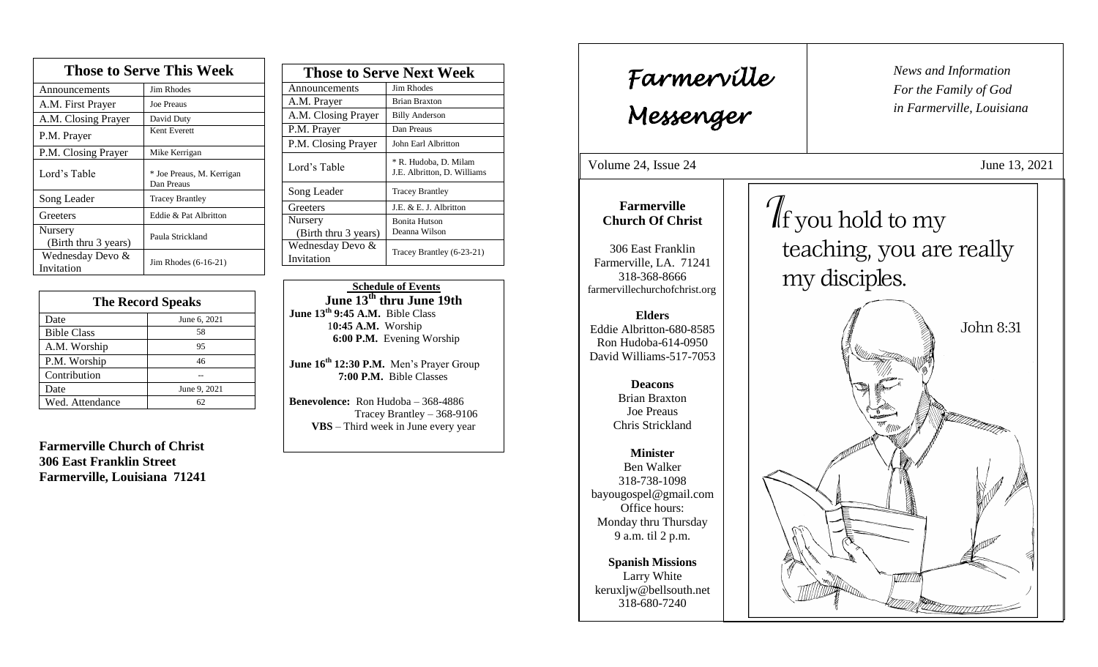| <b>Those to Serve This Week</b> |                                         |  |
|---------------------------------|-----------------------------------------|--|
| Announcements                   | Jim Rhodes                              |  |
| A.M. First Prayer               | Joe Preaus                              |  |
| A.M. Closing Prayer             | David Duty                              |  |
| P.M. Prayer                     | Kent Everett                            |  |
| P.M. Closing Prayer             | Mike Kerrigan                           |  |
| Lord's Table                    | * Joe Preaus, M. Kerrigan<br>Dan Preaus |  |
| Song Leader                     | <b>Tracey Brantley</b>                  |  |
| Greeters                        | Eddie & Pat Albritton                   |  |
| Nursery<br>(Birth thru 3 years) | Paula Strickland                        |  |
| Wednesday Devo &<br>Invitation  | Jim Rhodes $(6-16-21)$                  |  |

| <b>The Record Speaks</b> |              |
|--------------------------|--------------|
| Date                     | June 6, 2021 |
| <b>Bible Class</b>       | 58           |
| A.M. Worship             | 95           |
| P.M. Worship             | 46           |
| Contribution             |              |
| Date                     | June 9, 2021 |
| Wed. Attendance          | 62           |

**Farmerville Church of Christ 306 East Franklin Street Farmerville, Louisiana 71241**

| <b>Those to Serve Next Week</b> |                                                      |
|---------------------------------|------------------------------------------------------|
| Announcements                   | Jim Rhodes                                           |
| A.M. Prayer                     | <b>Brian Braxton</b>                                 |
| A.M. Closing Prayer             | <b>Billy Anderson</b>                                |
| P.M. Prayer                     | Dan Preaus                                           |
| P.M. Closing Prayer             | John Earl Albritton                                  |
| Lord's Table                    | * R. Hudoba, D. Milam<br>J.E. Albritton, D. Williams |
| Song Leader                     | <b>Tracey Brantley</b>                               |
| Greeters                        | J.E. & E. J. Albritton                               |
| Nursery<br>(Birth thru 3 years) | <b>Bonita Hutson</b><br>Deanna Wilson                |
| Wednesday Devo &<br>Invitation  | Tracey Brantley (6-23-21)                            |

 **Schedule of Events June 13th thru June 19th June 13th 9:45 A.M.** Bible Class 1**0:45 A.M.** Worship  **6:00 P.M.** Evening Worship

**June 16th 12:30 P.M.** Men's Prayer Group **7:00 P.M.** Bible Classes

**Benevolence:** Ron Hudoba – 368-4886 Tracey Brantley – 368-9106 **VBS** – Third week in June every year

*News and Information* **Farmerville**  $\begin{bmatrix} \text{News and} \end{bmatrix}$ *For the Family of God in Farmerville, Louisiana Messenger*  Volume 24, Issue 24 June 13, 2021 , 2015  $\int$  f you hold to my **Farmerville Church Of Christ** teaching, you are really 306 East Franklin Farmerville, LA. 71241 my disciples. 318-368-8666 farmervillechurchofchrist.org **Elders** John 8:31 Eddie Albritton-680-8585 Ron Hudoba-614-0950 David Williams-517-7053 **Deacons**  Brian Braxton Joe Preaus Chris Strickland **Minister** Ben Walker 318-738-1098 bayougospel@gmail.com Office hours: Monday thru Thursday 9 a.m. til 2 p.m. **Spanish Missions** Larry White keruxljw@bellsouth.net 318-680-7240